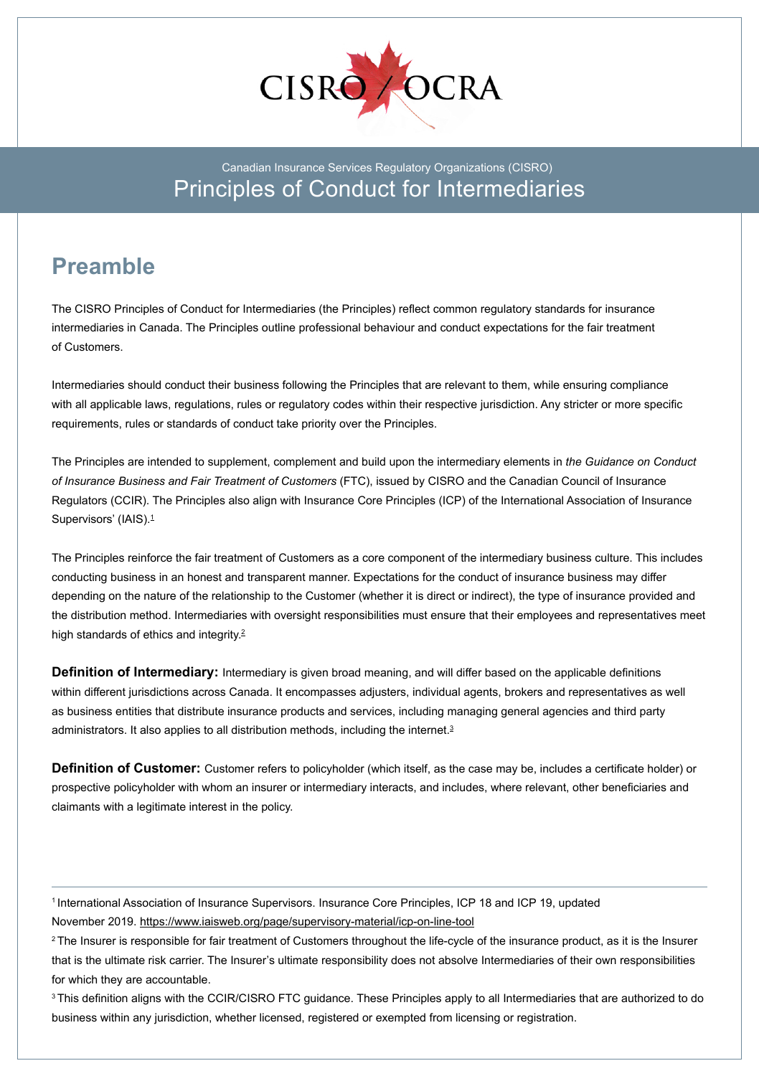

## Canadian Insurance Services Regulatory Organizations (CISRO) Principles of Conduct for Intermediaries

## **Preamble**

The CISRO Principles of Conduct for Intermediaries (the Principles) reflect common regulatory standards for insurance intermediaries in Canada. The Principles outline professional behaviour and conduct expectations for the fair treatment of Customers.

Intermediaries should conduct their business following the Principles that are relevant to them, while ensuring compliance with all applicable laws, regulations, rules or regulatory codes within their respective jurisdiction. Any stricter or more specific requirements, rules or standards of conduct take priority over the Principles.

The Principles are intended to supplement, complement and build upon the intermediary elements in *the Guidance on Conduct of Insurance Business and Fair Treatment of Customers* (FTC), issued by CISRO and the Canadian Council of Insurance Regulators (CCIR). The Principles also align with Insurance Core Principles (ICP) of the International Association of Insurance Supervisors' (IAIS).<sup>1</sup>

The Principles reinforce the fair treatment of Customers as a core component of the intermediary business culture. This includes conducting business in an honest and transparent manner. Expectations for the conduct of insurance business may differ depending on the nature of the relationship to the Customer (whether it is direct or indirect), the type of insurance provided and the distribution method. Intermediaries with oversight responsibilities must ensure that their employees and representatives meet high standards of ethics and integrity.<sup>2</sup>

**Definition of Intermediary:** Intermediary is given broad meaning, and will differ based on the applicable definitions within different jurisdictions across Canada. It encompasses adjusters, individual agents, brokers and representatives as well as business entities that distribute insurance products and services, including managing general agencies and third party administrators. It also applies to all distribution methods, including the internet.<sup>3</sup>

**Definition of Customer:** Customer refers to policyholder (which itself, as the case may be, includes a certificate holder) or prospective policyholder with whom an insurer or intermediary interacts, and includes, where relevant, other beneficiaries and claimants with a legitimate interest in the policy.

<sup>1</sup> International Association of Insurance Supervisors. Insurance Core Principles, ICP 18 and ICP 19, updated November 2019. https://www.iaisweb.org/page/supervisory-material/icp-on-line-tool

 $2$ The Insurer is responsible for fair treatment of Customers throughout the life-cycle of the insurance product, as it is the Insurer that is the ultimate risk carrier. The Insurer's ultimate responsibility does not absolve Intermediaries of their own responsibilities for which they are accountable.

<sup>3</sup>This definition aligns with the CCIR/CISRO FTC guidance. These Principles apply to all Intermediaries that are authorized to do business within any jurisdiction, whether licensed, registered or exempted from licensing or registration.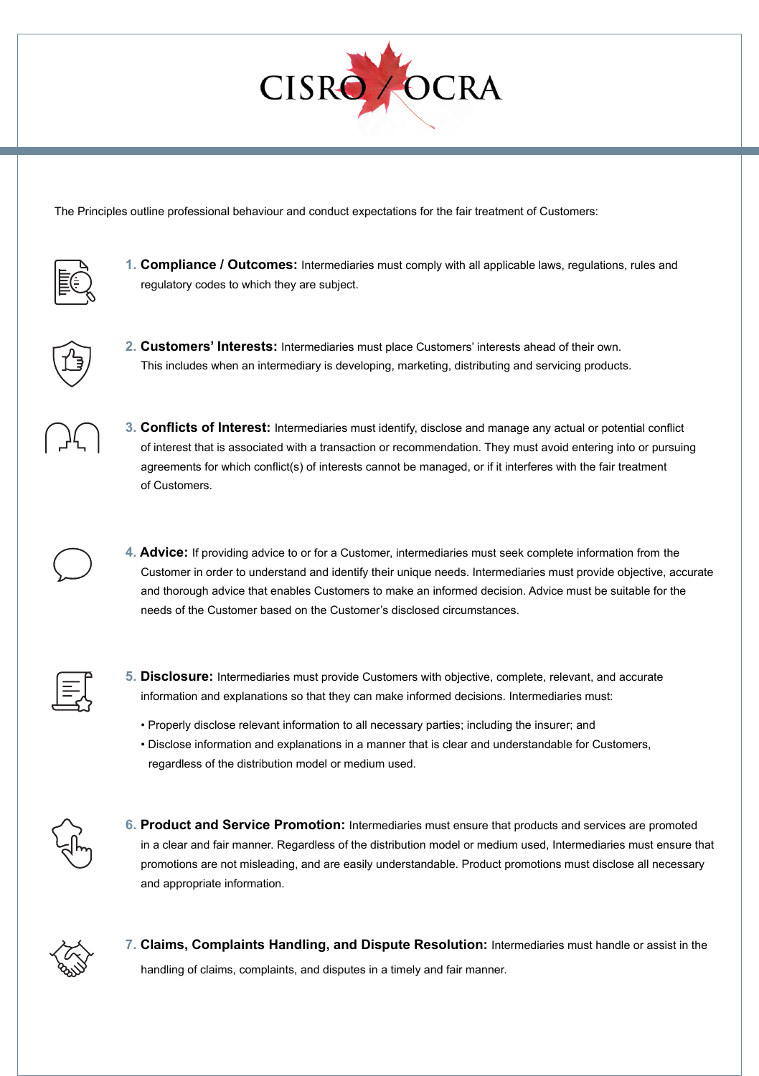

The Principles outline professional behaviour and conduct expectations for the fair treatment of Customers:



**1. Compliance / Outcomes:** Intermediaries must comply with all applicable laws, regulations, rules and regulatory codes to which they are subject.



**2. Customers' Interests:** Intermediaries must place Customers' interests ahead of their own. This includes when an intermediary is developing, marketing, distributing and servicing products.



**3. Conflicts of Interest:** Intermediaries must identify, disclose and manage any actual or potential conflict of interest that is associated with a transaction or recommendation. They must avoid entering into or pursuing agreements for which conflict(s) of interests cannot be managed, or if it interferes with the fair treatment of Customers.

**4. Advice:** If providing advice to or for a Customer, intermediaries must seek complete information from the Customer in order to understand and identify their unique needs. Intermediaries must provide objective, accurate and thorough advice that enables Customers to make an informed decision. Advice must be suitable for the needs of the Customer based on the Customer's disclosed circumstances.



- **5. Disclosure:** Intermediaries must provide Customers with objective, complete, relevant, and accurate information and explanations so that they can make informed decisions. Intermediaries must:
	- Properly disclose relevant information to all necessary parties; including the insurer; and
	- Disclose information and explanations in a manner that is clear and understandable for Customers, regardless of the distribution model or medium used.



**6. Product and Service Promotion:** Intermediaries must ensure that products and services are promoted in a clear and fair manner. Regardless of the distribution model or medium used, Intermediaries must ensure that promotions are not misleading, and are easily understandable. Product promotions must disclose all necessary and appropriate information.



**7. Claims, Complaints Handling, and Dispute Resolution:** Intermediaries must handle or assist in the handling of claims, complaints, and disputes in a timely and fair manner.